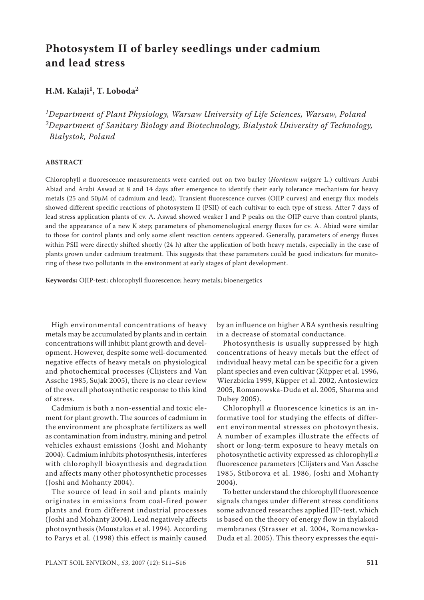# **Photosystem II of barley seedlings under cadmium and lead stress**

# **H.M. Kalaji1, T. Loboda2**

*1Department of Plant Physiology, Warsaw University of Life Sciences, Warsaw, Poland 2Department of Sanitary Biology and Biotechnology, Bialystok University of Technology, Bialystok, Poland*

### **ABSTRACT**

Chlorophyll *a* fluorescence measurements were carried out on two barley (*Hordeum vulgare* L.) cultivars Arabi Abiad and Arabi Aswad at 8 and 14 days after emergence to identify their early tolerance mechanism for heavy metals (25 and 50µM of cadmium and lead). Transient fluorescence curves (OJIP curves) and energy flux models showed different specific reactions of photosystem II (PSII) of each cultivar to each type of stress. After 7 days of lead stress application plants of cv. A. Aswad showed weaker I and P peaks on the OJIP curve than control plants, and the appearance of a new K step; parameters of phenomenological energy fluxes for cv. A. Abiad were similar to those for control plants and only some silent reaction centers appeared. Generally, parameters of energy fluxes within PSII were directly shifted shortly (24 h) after the application of both heavy metals, especially in the case of plants grown under cadmium treatment. This suggests that these parameters could be good indicators for monitoring of these two pollutants in the environment at early stages of plant development.

**Keywords:** OJIP-test; chlorophyll fluorescence; heavy metals; bioenergetics

High environmental concentrations of heavy metals may be accumulated by plants and in certain concentrations will inhibit plant growth and development. However, despite some well-documented negative effects of heavy metals on physiological and photochemical processes (Clijsters and Van Assche 1985, Sujak 2005), there is no clear review of the overall photosynthetic response to this kind of stress.

Cadmium is both a non-essential and toxic element for plant growth. The sources of cadmium in the environment are phosphate fertilizers as well as contamination from industry, mining and petrol vehicles exhaust emissions (Joshi and Mohanty 2004). Cadmium inhibits photosynthesis, interferes with chlorophyll biosynthesis and degradation and affects many other photosynthetic processes (Joshi and Mohanty 2004).

The source of lead in soil and plants mainly originates in emissions from coal-fired power plants and from different industrial processes (Joshi and Mohanty 2004). Lead negatively affects photosynthesis (Moustakas et al. 1994). According to Parys et al. (1998) this effect is mainly caused

by an influence on higher ABA synthesis resulting in a decrease of stomatal conductance.

Photosynthesis is usually suppressed by high concentrations of heavy metals but the effect of individual heavy metal can be specific for a given plant species and even cultivar (Küpper et al. 1996, Wierzbicka 1999, Küpper et al. 2002, Antosiewicz 2005, Romanowska-Duda et al. 2005, Sharma and Dubey 2005).

Chlorophyll *a* fluorescence kinetics is an informative tool for studying the effects of different environmental stresses on photosynthesis. A number of examples illustrate the effects of short or long-term exposure to heavy metals on photosynthetic activity expressed as chlorophyll *a* fluorescence parameters (Clijsters and Van Assche 1985, Stiborova et al. 1986, Joshi and Mohanty 2004).

To better understand the chlorophyll fluorescence signals changes under different stress conditions some advanced researches applied JIP-test, which is based on the theory of energy flow in thylakoid membranes (Strasser et al. 2004, Romanowska-Duda et al. 2005). This theory expresses the equi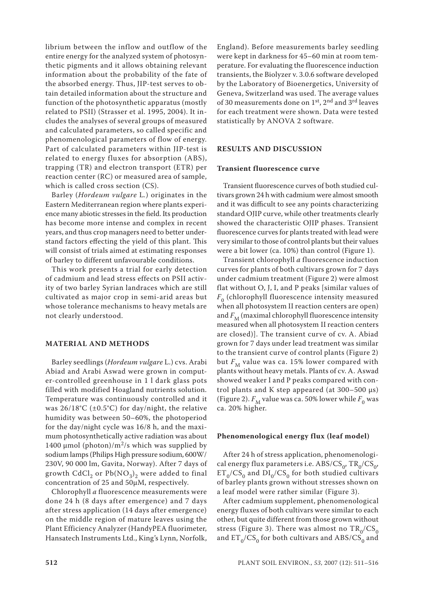librium between the inflow and outflow of the entire energy for the analyzed system of photosynthetic pigments and it allows obtaining relevant information about the probability of the fate of the absorbed energy. Thus, JIP-test serves to obtain detailed information about the structure and function of the photosynthetic apparatus (mostly related to PSII) (Strasser et al. 1995, 2004). It includes the analyses of several groups of measured and calculated parameters, so called specific and phenomenological parameters of flow of energy. Part of calculated parameters within JIP-test is related to energy fluxes for absorption (ABS), trapping (TR) and electron transport (ETR) per reaction center (RC) or measured area of sample, which is called cross section (CS).

Barley (*Hordeum vulgare* L*.*) originates in the Eastern Mediterranean region where plants experience many abiotic stresses in the field. Its production has become more intense and complex in recent years, and thus crop managers need to better understand factors effecting the yield of this plant. This will consist of trials aimed at estimating responses of barley to different unfavourable conditions.

This work presents a trial for early detection of cadmium and lead stress effects on PSII activity of two barley Syrian landraces which are still cultivated as major crop in semi-arid areas but whose tolerance mechanisms to heavy metals are not clearly understood.

#### **MATERIAL AND METHODS**

Barley seedlings (*Hordeum vulgare* L.) cvs. Arabi Abiad and Arabi Aswad were grown in computer-controlled greenhouse in 1 l dark glass pots filled with modified Hoagland nutrients solution. Temperature was continuously controlled and it was 26/18°C (±0.5°C) for day/night, the relative humidity was between 50–60%, the photoperiod for the day/night cycle was 16/8 h, and the maximum photosynthetically active radiation was about 1400 µmol (photon)/m<sup>2</sup>/s which was supplied by sodium lamps (Philips High pressure sodium, 600W/ 230V, 90 000 lm, Gavita, Norway). After 7 days of growth CdCl<sub>2</sub> or Pb( $NO<sub>3</sub>$ )<sub>2</sub> were added to final concentration of 25 and 50µM, respectively.

Chlorophyll *a* fluorescence measurements were done 24 h (8 days after emergence) and 7 days after stress application (14 days after emergence) on the middle region of mature leaves using the Plant Efficiency Analyzer (HandyPEA fluorimeter, Hansatech Instruments Ltd., King's Lynn, Norfolk,

England). Before measurements barley seedling were kept in darkness for 45–60 min at room temperature. For evaluating the fluorescence induction transients, the Biolyzer v. 3.0.6 software developed by the Laboratory of Bioenergetics, University of Geneva, Switzerland was used. The average values of 30 measurements done on  $1<sup>st</sup>$ ,  $2<sup>nd</sup>$  and  $3<sup>rd</sup>$  leaves for each treatment were shown. Data were tested statistically by ANOVA 2 software.

#### **RESULTS AND DISCUSSION**

#### **Transient fluorescence curve**

Transient fluorescence curves of both studied cultivars grown 24 h with cadmium were almost smooth and it was difficult to see any points characterizing standard OJIP curve, while other treatments clearly showed the characteristic OJIP phases. Transient fluorescence curves for plants treated with lead were very similar to those of control plants but their values were a bit lower (ca. 10%) than control (Figure 1).

Transient chlorophyll *a* fluorescence induction curves for plants of both cultivars grown for 7 days under cadmium treatment (Figure 2) were almost flat without O, J, I, and P peaks [similar values of  $F<sub>0</sub>$  (chlorophyll fluorescence intensity measured when all photosystem II reaction centers are open) and  $F_M$  (maximal chlorophyll fluorescence intensity measured when all photosystem II reaction centers are closed)]. The transient curve of cv. A. Abiad grown for 7 days under lead treatment was similar to the transient curve of control plants (Figure 2) but  $F_M$  value was ca. 15% lower compared with plants without heavy metals. Plants of cv. A. Aswad showed weaker I and P peaks compared with control plants and K step appeared (at  $300-500 \text{ }\mu\text{s}$ ) (Figure 2).  $F_M$  value was ca. 50% lower while  $F_0$  was ca. 20% higher.

#### **Phenomenological energy flux (leaf model)**

After 24 h of stress application, phenomenological energy flux parameters i.e.  $\text{ABS/CS}_{0}$ ,  $\text{TR}_{0}/\text{CS}_{0}$ ,  $ET_0/CS_0$  and  $DI_0/CS_0$  for both studied cultivars of barley plants grown without stresses shown on a leaf model were rather similar (Figure 3).

After cadmium supplement, phenomenological energy fluxes of both cultivars were similar to each other, but quite different from those grown without stress (Figure 3). There was almost no  $TR_0/CS_0$ and  $ET_0/CS_0$  for both cultivars and ABS/CS<sub>0</sub> and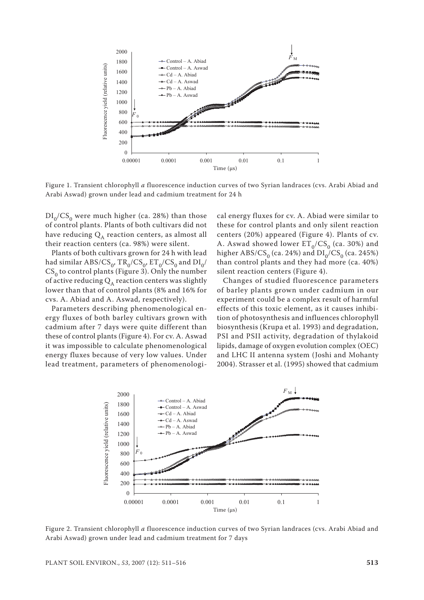

Figure 1. Transient chlorophyll *a* fluorescence induction curves of two Syrian landraces (cvs. Arabi Abiad and Arabi Aswad) grown under lead and cadmium treatment for 24 h

 $DI_0/CS_0$  were much higher (ca. 28%) than those of control plants. Plants of both cultivars did not have reducing  $Q_A$  reaction centers, as almost all their reaction centers (ca. 98%) were silent.

Plants of both cultivars grown for 24 h with lead had similar ABS/ $CS_0$ ,  $TR_0/CS_0$ ,  $ET_0/CS_0$  and  $DI_0/$  $CS_0$  to control plants (Figure 3). Only the number of active reducing  $Q_A$  reaction centers was slightly lower than that of control plants (8% and 16% for cvs. A. Abiad and A. Aswad, respectively).

Parameters describing phenomenological energy fluxes of both barley cultivars grown with cadmium after 7 days were quite different than these of control plants (Figure 4). For cv. A. Aswad it was impossible to calculate phenomenological energy fluxes because of very low values. Under lead treatment, parameters of phenomenologi-

cal energy fluxes for cv. A. Abiad were similar to these for control plants and only silent reaction centers (20%) appeared (Figure 4). Plants of cv. A. Aswad showed lower  $\mathsf{ET}_0/\mathsf{CS}_0$  (ca. 30%) and higher ABS/CS<sub>0</sub> (ca. 24%) and  $DI_0/CS_0$  (ca. 245%) than control plants and they had more (ca. 40%) silent reaction centers (Figure 4).

Changes of studied fluorescence parameters of barley plants grown under cadmium in our experiment could be a complex result of harmful effects of this toxic element, as it causes inhibition of photosynthesis and influences chlorophyll biosynthesis (Krupa et al. 1993) and degradation, PSI and PSII activity, degradation of thylakoid lipids, damage of oxygen evolution complex (OEC) and LHC II antenna system (Joshi and Mohanty 2004). Strasser et al. (1995) showed that cadmium



Figure 2. Transient chlorophyll *a* fluorescence induction curves of two Syrian landraces (cvs. Arabi Abiad and Arabi Aswad) grown under lead and cadmium treatment for 7 days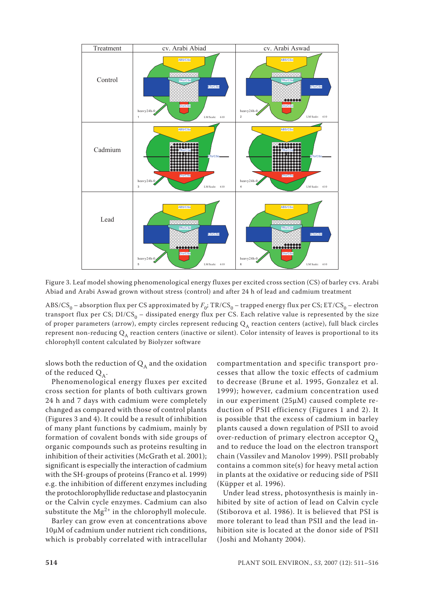

Figure 3. Leaf model showing phenomenological energy fluxes per excited cross section (CS) of barley cvs. Arabi Abiad and Arabi Aswad grown without stress (control) and after 24 h of lead and cadmium treatment

ABS/CS<sub>0</sub> – absorption flux per CS approximated by  $F_0$ ; TR/CS<sub>0</sub> – trapped energy flux per CS; ET/CS<sub>0</sub> – electron transport flux per CS;  $DI/CS_0 -$  dissipated energy flux per CS. Each relative value is represented by the size of proper parameters (arrow), empty circles represent reducing  $Q_A$  reaction centers (active), full black circles represent non-reducing  $Q_A$  reaction centers (inactive or silent). Color intensity of leaves is proportional to its chlorophyll content calculated by Biolyzer software

slows both the reduction of  $\mathbf{Q}_\mathtt{A}$  and the oxidation of the reduced  $Q<sub>A</sub>$ .

Phenomenological energy fluxes per excited cross section for plants of both cultivars grown 24 h and 7 days with cadmium were completely changed as compared with those of control plants (Figures 3 and 4). It could be a result of inhibition of many plant functions by cadmium, mainly by formation of covalent bonds with side groups of organic compounds such as proteins resulting in inhibition of their activities (McGrath et al. 2001); significant is especially the interaction of cadmium with the SH-groups of proteins (Franco et al. 1999) e.g. the inhibition of different enzymes including the protochlorophyllide reductase and plastocyanin or the Calvin cycle enzymes. Cadmium can also substitute the  $Mg^{2+}$  in the chlorophyll molecule.

Barley can grow even at concentrations above 10µM of cadmium under nutrient rich conditions, which is probably correlated with intracellular

compartmentation and specific transport processes that allow the toxic effects of cadmium to decrease (Brune et al. 1995, Gonzalez et al. 1999); however, cadmium concentration used in our experiment (25µM) caused complete reduction of PSII efficiency (Figures 1 and 2). It is possible that the excess of cadmium in barley plants caused a down regulation of PSII to avoid over-reduction of primary electron acceptor  $Q_A$ and to reduce the load on the electron transport chain (Vassilev and Manolov 1999). PSII probably contains a common site(s) for heavy metal action in plants at the oxidative or reducing side of PSII (Küpper et al. 1996).

Under lead stress, photosynthesis is mainly inhibited by site of action of lead on Calvin cycle (Stiborova et al. 1986). It is believed that PSI is more tolerant to lead than PSII and the lead inhibition site is located at the donor side of PSII (Joshi and Mohanty 2004).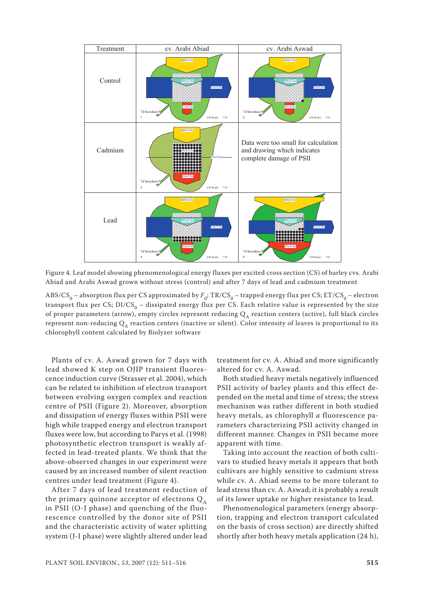

Figure 4. Leaf model showing phenomenological energy fluxes per excited cross section (CS) of barley cvs. Arabi Abiad and Arabi Aswad grown without stress (control) and after 7 days of lead and cadmium treatment

ABS/CS<sub>0</sub> – absorption flux per CS approximated by  $F_0$ ; TR/CS<sub>0</sub> – trapped energy flux per CS; ET/CS<sub>0</sub> – electron transport flux per CS;  $DI/CS_0 -$  dissipated energy flux per CS. Each relative value is represented by the size of proper parameters (arrow), empty circles represent reducing  $Q_A$  reaction centers (active), full black circles represent non-reducing  $Q_A$  reaction centers (inactive or silent). Color intensity of leaves is proportional to its chlorophyll content calculated by Biolyzer software

Plants of cv. A. Aswad grown for 7 days with lead showed K step on OJIP transient fluorescence induction curve (Strasser et al. 2004), which can be related to inhibition of electron transport between evolving oxygen complex and reaction centre of PSII (Figure 2). Moreover, absorption and dissipation of energy fluxes within PSII were high while trapped energy and electron transport fluxes were low, but according to Parys et al. (1998) photosynthetic electron transport is weakly affected in lead-treated plants. We think that the above-observed changes in our experiment were caused by an increased number of silent reaction centres under lead treatment (Figure 4).

After 7 days of lead treatment reduction of the primary quinone acceptor of electrons  $Q_A$ in PSII (O-J phase) and quenching of the fluorescence controlled by the donor site of PSII and the characteristic activity of water splitting system (J-I phase) were slightly altered under lead

treatment for cv. A. Abiad and more significantly altered for cv. A. Aswad.

Both studied heavy metals negatively influenced PSII activity of barley plants and this effect depended on the metal and time of stress; the stress mechanism was rather different in both studied heavy metals, as chlorophyll *a* fluorescence parameters characterizing PSII activity changed in different manner. Changes in PSII became more apparent with time.

Taking into account the reaction of both cultivars to studied heavy metals it appears that both cultivars are highly sensitive to cadmium stress while cv. A. Abiad seems to be more tolerant to lead stress than cv. A. Aswad; it is probably a result of its lower uptake or higher resistance to lead.

Phenomenological parameters (energy absorption, trapping and electron transport calculated on the basis of cross section) are directly shifted shortly after both heavy metals application (24 h),